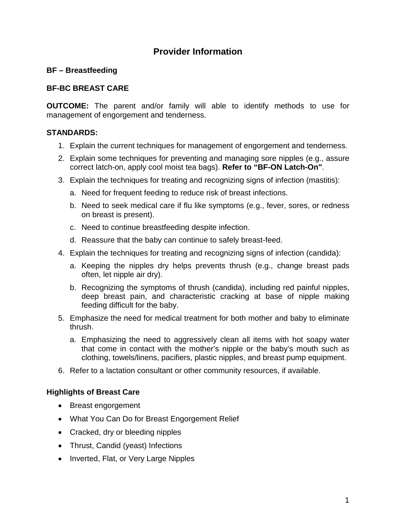# **Provider Information**

# **BF – Breastfeeding**

# **BF-BC BREAST CARE**

**OUTCOME:** The parent and/or family will able to identify methods to use for management of engorgement and tenderness.

### **STANDARDS:**

- 1. Explain the current techniques for management of engorgement and tenderness.
- 2. Explain some techniques for preventing and managing sore nipples (e.g., assure correct latch-on, apply cool moist tea bags). **Refer to "BF-ON Latch-On"**.
- 3. Explain the techniques for treating and recognizing signs of infection (mastitis):
	- a. Need for frequent feeding to reduce risk of breast infections.
	- b. Need to seek medical care if flu like symptoms (e.g., fever, sores, or redness on breast is present).
	- c. Need to continue breastfeeding despite infection.
	- d. Reassure that the baby can continue to safely breast-feed.
- 4. Explain the techniques for treating and recognizing signs of infection (candida):
	- a. Keeping the nipples dry helps prevents thrush (e.g., change breast pads often, let nipple air dry).
	- b. Recognizing the symptoms of thrush (candida), including red painful nipples, deep breast pain, and characteristic cracking at base of nipple making feeding difficult for the baby.
- 5. Emphasize the need for medical treatment for both mother and baby to eliminate thrush.
	- a. Emphasizing the need to aggressively clean all items with hot soapy water that come in contact with the mother's nipple or the baby's mouth such as clothing, towels/linens, pacifiers, plastic nipples, and breast pump equipment.
- 6. Refer to a lactation consultant or other community resources, if available.

### **Highlights of Breast Care**

- Breast engorgement
- What You Can Do for Breast Engorgement Relief
- Cracked, dry or bleeding nipples
- Thrust, Candid (yeast) Infections
- Inverted, Flat, or Very Large Nipples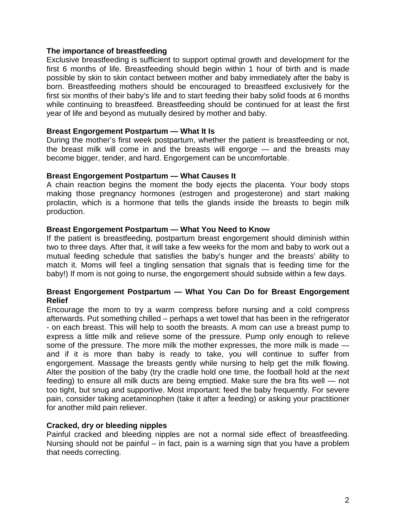### **The importance of breastfeeding**

Exclusive breastfeeding is sufficient to support optimal growth and development for the first 6 months of life. Breastfeeding should begin within 1 hour of birth and is made possible by skin to skin contact between mother and baby immediately after the baby is born. Breastfeeding mothers should be encouraged to breastfeed exclusively for the first six months of their baby's life and to start feeding their baby solid foods at 6 months while continuing to breastfeed. Breastfeeding should be continued for at least the first year of life and beyond as mutually desired by mother and baby.

### **Breast Engorgement Postpartum — What It Is**

During the mother's first week postpartum, whether the patient is breastfeeding or not, the breast milk will come in and the breasts will engorge — and the breasts may become bigger, tender, and hard. Engorgement can be uncomfortable.

#### **Breast Engorgement Postpartum — What Causes It**

A chain reaction begins the moment the body ejects the placenta. Your body stops making those pregnancy hormones (estrogen and progesterone) and start making prolactin, which is a hormone that tells the glands inside the breasts to begin milk production.

#### **Breast Engorgement Postpartum — What You Need to Know**

If the patient is breastfeeding, postpartum breast engorgement should diminish within two to three days. After that, it will take a few weeks for the mom and baby to work out a mutual feeding schedule that satisfies the baby's hunger and the breasts' ability to match it. Moms will feel a tingling sensation that signals that is feeding time for the baby!) If mom is not going to nurse, the engorgement should subside within a few days.

#### **Breast Engorgement Postpartum — What You Can Do for Breast Engorgement Relief**

Encourage the mom to try a warm compress before nursing and a cold compress afterwards. Put something chilled – perhaps a wet towel that has been in the refrigerator - on each breast. This will help to sooth the breasts. A mom can use a breast pump to express a little milk and relieve some of the pressure. Pump only enough to relieve some of the pressure. The more milk the mother expresses, the more milk is made and if it is more than baby is ready to take, you will continue to suffer from engorgement. Massage the breasts gently while nursing to help get the milk flowing. Alter the position of the baby (try the cradle hold one time, the football hold at the next feeding) to ensure all milk ducts are being emptied. Make sure the bra fits well — not too tight, but snug and supportive. Most important: feed the baby frequently. For severe pain, consider taking acetaminophen (take it after a feeding) or asking your practitioner for another mild pain reliever.

### **Cracked, dry or bleeding nipples**

Painful cracked and bleeding nipples are not a normal side effect of breastfeeding. Nursing should not be painful – in fact, pain is a warning sign that you have a problem that needs correcting.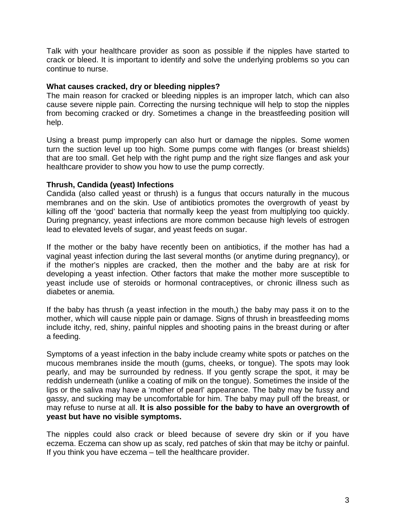Talk with your healthcare provider as soon as possible if the nipples have started to crack or bleed. It is important to identify and solve the underlying problems so you can continue to nurse.

### **What causes cracked, dry or bleeding nipples?**

The main reason for cracked or bleeding nipples is an improper latch, which can also cause severe nipple pain. Correcting the nursing technique will help to stop the nipples from becoming cracked or dry. Sometimes a change in the breastfeeding position will help.

Using a breast pump improperly can also hurt or damage the nipples. Some women turn the suction level up too high. Some pumps come with flanges (or breast shields) that are too small. Get help with the right pump and the right size flanges and ask your healthcare provider to show you how to use the pump correctly.

### **Thrush, Candida (yeast) Infections**

Candida (also called yeast or thrush) is a fungus that occurs naturally in the mucous membranes and on the skin. Use of antibiotics promotes the overgrowth of yeast by killing off the 'good' bacteria that normally keep the yeast from multiplying too quickly. During pregnancy, yeast infections are more common because high levels of estrogen lead to elevated levels of sugar, and yeast feeds on sugar.

If the mother or the baby have recently been on antibiotics, if the mother has had a vaginal yeast infection during the last several months (or anytime during pregnancy), or if the mother's nipples are cracked, then the mother and the baby are at risk for developing a yeast infection. Other factors that make the mother more susceptible to yeast include use of steroids or hormonal contraceptives, or chronic illness such as diabetes or anemia.

If the baby has thrush (a yeast infection in the mouth,) the baby may pass it on to the mother, which will cause nipple pain or damage. Signs of thrush in breastfeeding moms include itchy, red, shiny, painful nipples and shooting pains in the breast during or after a feeding.

Symptoms of a yeast infection in the baby include creamy white spots or patches on the mucous membranes inside the mouth (gums, cheeks, or tongue). The spots may look pearly, and may be surrounded by redness. If you gently scrape the spot, it may be reddish underneath (unlike a coating of milk on the tongue). Sometimes the inside of the lips or the saliva may have a 'mother of pearl' appearance. The baby may be fussy and gassy, and sucking may be uncomfortable for him. The baby may pull off the breast, or may refuse to nurse at all. **It is also possible for the baby to have an overgrowth of yeast but have no visible symptoms.**

The nipples could also crack or bleed because of severe dry skin or if you have eczema. Eczema can show up as scaly, red patches of skin that may be itchy or painful. If you think you have eczema – tell the healthcare provider.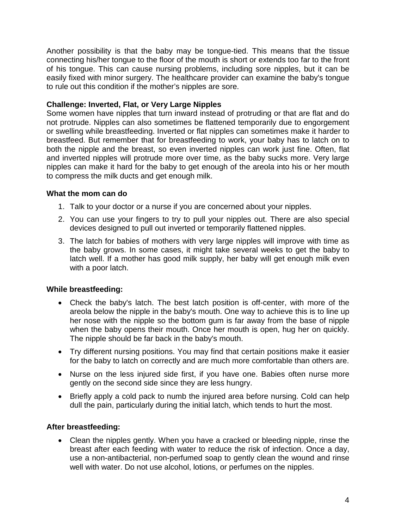Another possibility is that the baby may be tongue-tied. This means that the tissue connecting his/her tongue to the floor of the mouth is short or extends too far to the front of his tongue. This can cause nursing problems, including sore nipples, but it can be easily fixed with minor surgery. The healthcare provider can examine the baby's tongue to rule out this condition if the mother's nipples are sore.

# **Challenge: Inverted, Flat, or Very Large Nipples**

Some women have nipples that turn inward instead of protruding or that are flat and do not protrude. Nipples can also sometimes be flattened temporarily due to engorgement or swelling while breastfeeding. Inverted or flat nipples can sometimes make it harder to breastfeed. But remember that for breastfeeding to work, your baby has to latch on to both the nipple and the breast, so even inverted nipples can work just fine. Often, flat and inverted nipples will protrude more over time, as the baby sucks more. Very large nipples can make it hard for the baby to get enough of the areola into his or her mouth to compress the milk ducts and get enough milk.

# **What the mom can do**

- 1. Talk to your doctor or a nurse if you are concerned about your nipples.
- 2. You can use your fingers to try to pull your nipples out. There are also special devices designed to pull out inverted or temporarily flattened nipples.
- 3. The latch for babies of mothers with very large nipples will improve with time as the baby grows. In some cases, it might take several weeks to get the baby to latch well. If a mother has good milk supply, her baby will get enough milk even with a poor latch.

# **While breastfeeding:**

- Check the baby's latch. The best latch position is off-center, with more of the areola below the nipple in the baby's mouth. One way to achieve this is to line up her nose with the nipple so the bottom gum is far away from the base of nipple when the baby opens their mouth. Once her mouth is open, hug her on quickly. The nipple should be far back in the baby's mouth.
- Try different nursing positions. You may find that certain positions make it easier for the baby to latch on correctly and are much more comfortable than others are.
- Nurse on the less injured side first, if you have one. Babies often nurse more gently on the second side since they are less hungry.
- Briefly apply a cold pack to numb the injured area before nursing. Cold can help dull the pain, particularly during the initial latch, which tends to hurt the most.

# **After breastfeeding:**

• Clean the nipples gently. When you have a cracked or bleeding nipple, rinse the breast after each feeding with water to reduce the risk of infection. Once a day, use a non-antibacterial, non-perfumed soap to gently clean the wound and rinse well with water. Do not use alcohol, lotions, or perfumes on the nipples.